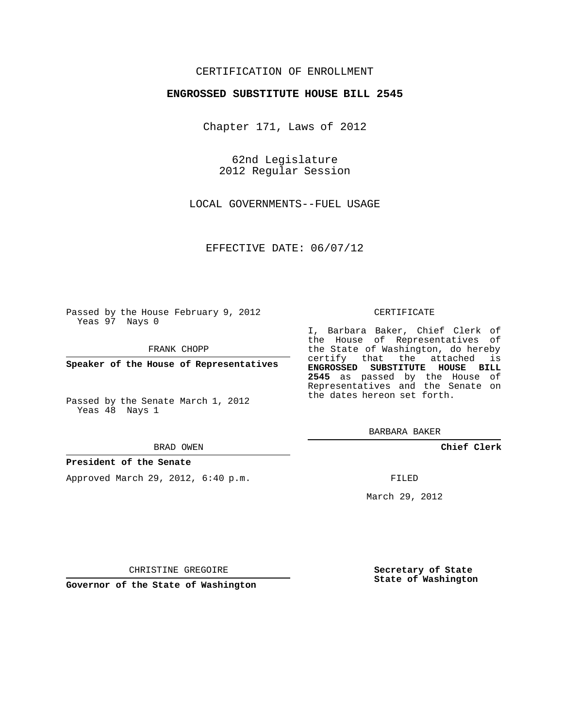## CERTIFICATION OF ENROLLMENT

### **ENGROSSED SUBSTITUTE HOUSE BILL 2545**

Chapter 171, Laws of 2012

62nd Legislature 2012 Regular Session

LOCAL GOVERNMENTS--FUEL USAGE

EFFECTIVE DATE: 06/07/12

Passed by the House February 9, 2012 Yeas 97 Nays 0

FRANK CHOPP

**Speaker of the House of Representatives**

Passed by the Senate March 1, 2012 Yeas 48 Nays 1

#### BRAD OWEN

#### **President of the Senate**

Approved March 29, 2012, 6:40 p.m.

#### CERTIFICATE

I, Barbara Baker, Chief Clerk of the House of Representatives of the State of Washington, do hereby certify that the attached is **ENGROSSED SUBSTITUTE HOUSE BILL 2545** as passed by the House of Representatives and the Senate on the dates hereon set forth.

BARBARA BAKER

**Chief Clerk**

FILED

March 29, 2012

**Governor of the State of Washington**

CHRISTINE GREGOIRE

**Secretary of State State of Washington**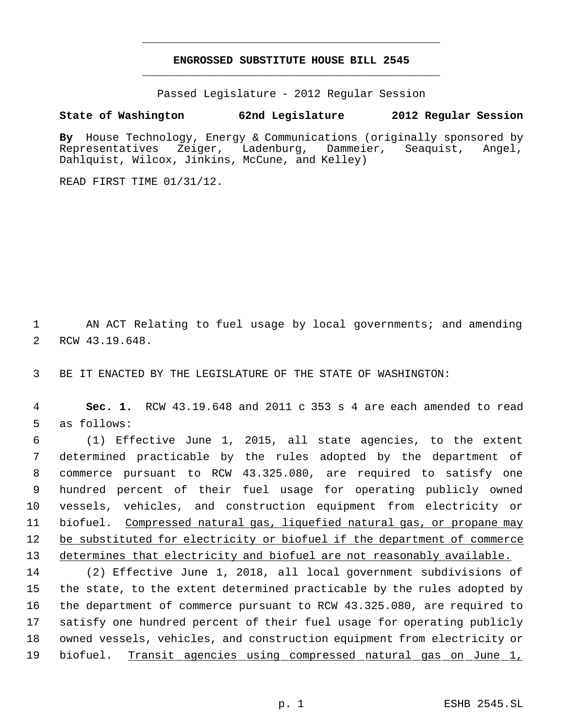# **ENGROSSED SUBSTITUTE HOUSE BILL 2545** \_\_\_\_\_\_\_\_\_\_\_\_\_\_\_\_\_\_\_\_\_\_\_\_\_\_\_\_\_\_\_\_\_\_\_\_\_\_\_\_\_\_\_\_\_

\_\_\_\_\_\_\_\_\_\_\_\_\_\_\_\_\_\_\_\_\_\_\_\_\_\_\_\_\_\_\_\_\_\_\_\_\_\_\_\_\_\_\_\_\_

Passed Legislature - 2012 Regular Session

# **State of Washington 62nd Legislature 2012 Regular Session**

By House Technology, Energy & Communications (originally sponsored by Representatives Zeiger, Ladenburg, Dammeier, Seaguist, Angel, Representatives Zeiger, Ladenburg, Dammeier, Seaquist, Angel, Dahlquist, Wilcox, Jinkins, McCune, and Kelley)

READ FIRST TIME 01/31/12.

 1 AN ACT Relating to fuel usage by local governments; and amending 2 RCW 43.19.648.

3 BE IT ENACTED BY THE LEGISLATURE OF THE STATE OF WASHINGTON:

 4 **Sec. 1.** RCW 43.19.648 and 2011 c 353 s 4 are each amended to read 5 as follows:

 (1) Effective June 1, 2015, all state agencies, to the extent determined practicable by the rules adopted by the department of commerce pursuant to RCW 43.325.080, are required to satisfy one hundred percent of their fuel usage for operating publicly owned vessels, vehicles, and construction equipment from electricity or biofuel. Compressed natural gas, liquefied natural gas, or propane may 12 be substituted for electricity or biofuel if the department of commerce 13 determines that electricity and biofuel are not reasonably available.

 (2) Effective June 1, 2018, all local government subdivisions of the state, to the extent determined practicable by the rules adopted by the department of commerce pursuant to RCW 43.325.080, are required to satisfy one hundred percent of their fuel usage for operating publicly owned vessels, vehicles, and construction equipment from electricity or 19 biofuel. Transit agencies using compressed natural gas on June 1,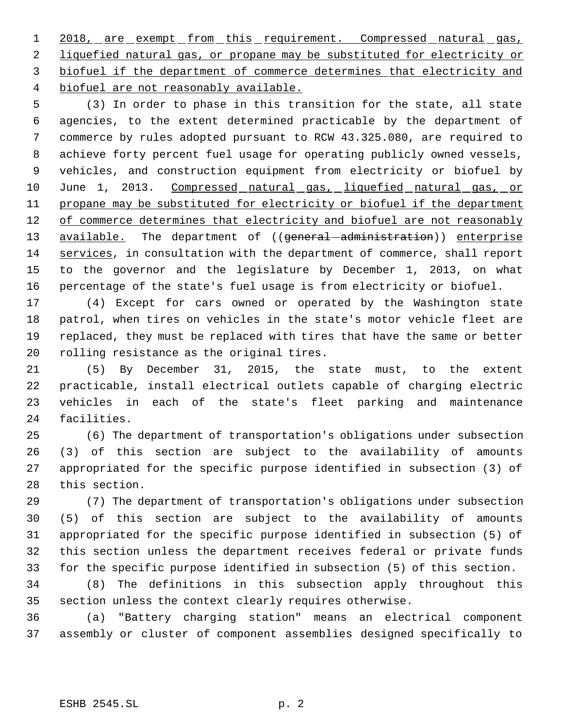1 2018, are exempt from this requirement. Compressed natural gas, liquefied natural gas, or propane may be substituted for electricity or biofuel if the department of commerce determines that electricity and biofuel are not reasonably available.

 (3) In order to phase in this transition for the state, all state agencies, to the extent determined practicable by the department of commerce by rules adopted pursuant to RCW 43.325.080, are required to achieve forty percent fuel usage for operating publicly owned vessels, vehicles, and construction equipment from electricity or biofuel by 10 June 1, 2013. Compressed natural gas, liquefied natural gas, or propane may be substituted for electricity or biofuel if the department 12 of commerce determines that electricity and biofuel are not reasonably 13 available. The department of ((general-administration)) enterprise services, in consultation with the department of commerce, shall report to the governor and the legislature by December 1, 2013, on what percentage of the state's fuel usage is from electricity or biofuel.

 (4) Except for cars owned or operated by the Washington state patrol, when tires on vehicles in the state's motor vehicle fleet are replaced, they must be replaced with tires that have the same or better rolling resistance as the original tires.

 (5) By December 31, 2015, the state must, to the extent practicable, install electrical outlets capable of charging electric vehicles in each of the state's fleet parking and maintenance facilities.

 (6) The department of transportation's obligations under subsection (3) of this section are subject to the availability of amounts appropriated for the specific purpose identified in subsection (3) of this section.

 (7) The department of transportation's obligations under subsection (5) of this section are subject to the availability of amounts appropriated for the specific purpose identified in subsection (5) of this section unless the department receives federal or private funds for the specific purpose identified in subsection (5) of this section.

 (8) The definitions in this subsection apply throughout this section unless the context clearly requires otherwise.

 (a) "Battery charging station" means an electrical component assembly or cluster of component assemblies designed specifically to